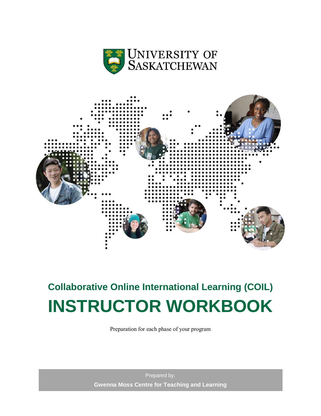



# **Collaborative Online International Learning (COIL) INSTRUCTOR WORKBOOK**

Preparation for each phase of your program

Prepared by: **Gwenna Moss Centre for Teaching and Learning**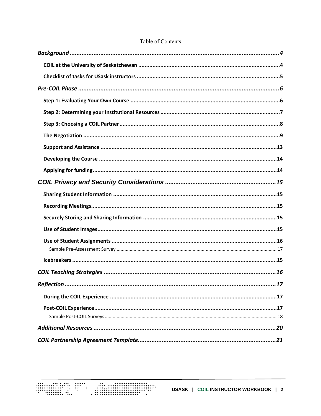| 17 |
|----|
|    |
|    |
|    |
|    |
|    |

#### Table of Contents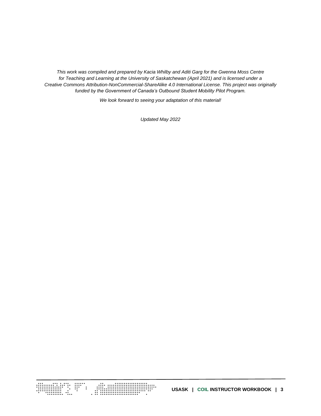*This work was compiled and prepared by Kacia Whilby and Aditi Garg for the Gwenna Moss Centre for Teaching and Learning at the University of Saskatchewan (April 2021) and is licensed under a Creative Commons Attribution-NonCommercial-ShareAlike 4.0 International License. This project was originally funded by the Government of Canada's Outbound Student Mobility Pilot Program.*

*We look forward to seeing your adaptation of this material!*

*Updated May 2022*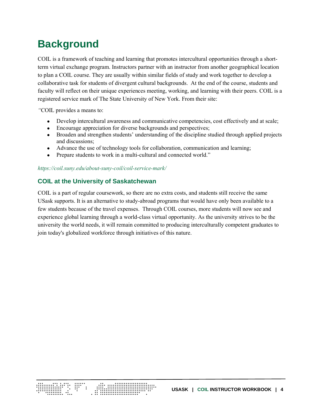# <span id="page-3-0"></span>**Background**

COIL is a framework of teaching and learning that promotes intercultural opportunities through a shortterm virtual exchange program. Instructors partner with an instructor from another geographical location to plan a COIL course. They are usually within similar fields of study and work together to develop a collaborative task for students of divergent cultural backgrounds. At the end of the course, students and faculty will reflect on their unique experiences meeting, working, and learning with their peers. COIL is a registered service mark of The State University of New York. From their site:

*"*COIL provides a means to:

- Develop intercultural awareness and communicative competencies, cost effectively and at scale;
- Encourage appreciation for diverse backgrounds and perspectives;
- Broaden and strengthen students' understanding of the discipline studied through applied projects and discussions;
- Advance the use of technology tools for collaboration, communication and learning;
- Prepare students to work in a multi-cultural and connected world."

<span id="page-3-1"></span>*<https://coil.suny.edu/about-suny-coil/coil-service-mark/>*

### **COIL at the University of Saskatchewan**

COIL is a part of regular coursework, so there are no extra costs, and students still receive the same USask supports. It is an alternative to study-abroad programs that would have only been available to a few students because of the travel expenses. Through COIL courses, more students will now see and experience global learning through a world-class virtual opportunity. As the university strives to be the university the world needs, it will remain committed to producing interculturally competent graduates to join today's globalized workforce through initiatives of this nature.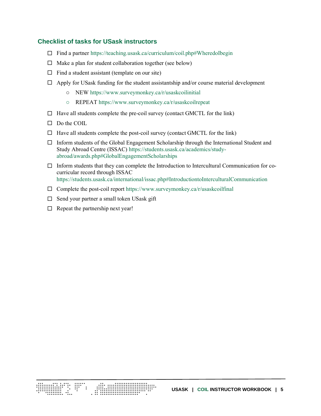#### <span id="page-4-0"></span>**Checklist of tasks for USask instructors**

- $\Box$  Find a partner <https://teaching.usask.ca/curriculum/coil.php#WheredoIbegin>
- $\Box$  Make a plan for student collaboration together (see below)
- $\Box$  Find a student assistant (template on our site)
- $\Box$  Apply for USask funding for the student assistantship and/or course material development
	- o NEW<https://www.surveymonkey.ca/r/usaskcoilinitial>
	- o REPEAT <https://www.surveymonkey.ca/r/usaskcoilrepeat>
- $\Box$  Have all students complete the pre-coil survey (contact GMCTL for the link)
- $\Box$  Do the COIL
- $\Box$  Have all students complete the post-coil survey (contact GMCTL for the link)
- $\Box$  Inform students of the Global Engagement Scholarship through the International Student and Study Abroad Centre (ISSAC) [https://students.usask.ca/academics/study](https://students.usask.ca/academics/study-abroad/awards.php#GlobalEngagementScholarships)[abroad/awards.php#GlobalEngagementScholarships](https://students.usask.ca/academics/study-abroad/awards.php#GlobalEngagementScholarships)
- $\Box$  Inform students that they can complete the Introduction to Intercultural Communication for cocurricular record through ISSAC <https://students.usask.ca/international/issac.php#IntroductiontoInterculturalCommunication>
- $\square$  Complete the post-coil report https://www.surveymonkey.ca/r/usaskcoilfinal
- $\Box$  Send your partner a small token USask gift
- $\Box$  Repeat the partnership next year!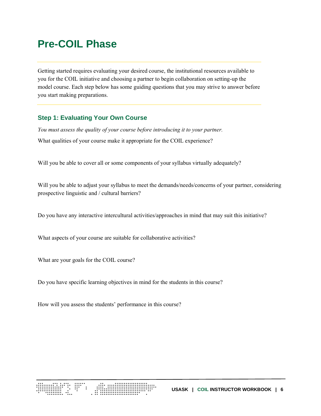# <span id="page-5-0"></span>**Pre-COIL Phase**

Getting started requires evaluating your desired course, the institutional resources available to you for the COIL initiative and choosing a partner to begin collaboration on setting-up the model course. Each step below has some guiding questions that you may strive to answer before you start making preparations.

#### <span id="page-5-1"></span>**Step 1: Evaluating Your Own Course**

*You must assess the quality of your course before introducing it to your partner.*  What qualities of your course make it appropriate for the COIL experience?

Will you be able to cover all or some components of your syllabus virtually adequately?

Will you be able to adjust your syllabus to meet the demands/needs/concerns of your partner, considering prospective linguistic and / cultural barriers?

Do you have any interactive intercultural activities/approaches in mind that may suit this initiative?

What aspects of your course are suitable for collaborative activities?

What are your goals for the COIL course?

Do you have specific learning objectives in mind for the students in this course?

How will you assess the students' performance in this course?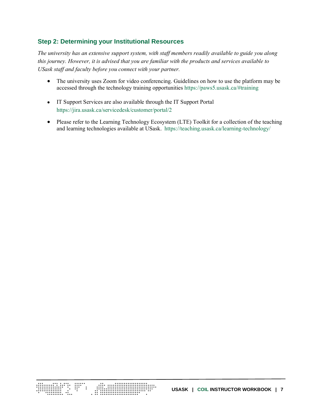## <span id="page-6-0"></span>**Step 2: Determining your Institutional Resources**

*The university has an extensive support system, with staff members readily available to guide you along this journey. However, it is advised that you are familiar with the products and services available to USask staff and faculty before you connect with your partner.* 

- The university uses Zoom for video conferencing. Guidelines on how to use the platform may be accessed through the technology training opportunities <https://paws5.usask.ca/#training>
- IT Support Services are also available through the IT Support Portal <https://jira.usask.ca/servicedesk/customer/portal/2>
- Please refer to the Learning Technology Ecosystem (LTE) Toolkit for a collection of the teaching and learning technologies available at USask. <https://teaching.usask.ca/learning-technology/>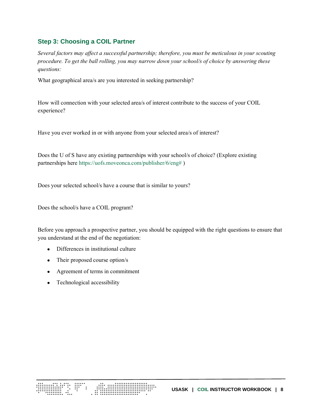#### <span id="page-7-0"></span>**Step 3: Choosing a COIL Partner**

*Several factors may affect a successful partnership; therefore, you must be meticulous in your scouting procedure. To get the ball rolling, you may narrow down your school/s of choice by answering these questions:*

What geographical area/s are you interested in seeking partnership?

How will connection with your selected area/s of interest contribute to the success of your COIL experience?

Have you ever worked in or with anyone from your selected area/s of interest?

Does the U of S have any existing partnerships with your school/s of choice? (Explore existing partnerships here [https://uofs.moveonca.com/publisher/6/eng#](https://uofs.moveonca.com/publisher/6/eng) )

Does your selected school/s have a course that is similar to yours?

Does the school/s have a COIL program?

Before you approach a prospective partner, you should be equipped with the right questions to ensure that you understand at the end of the negotiation:

- Differences in institutional culture
- Their proposed course option/s
- Agreement of terms in commitment

ESTI SAN

• Technological accessibility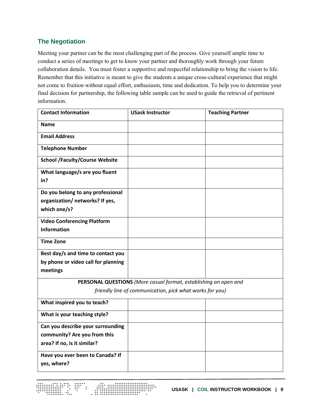## <span id="page-8-0"></span>**The Negotiation**

Meeting your partner can be the most challenging part of the process. Give yourself ample time to conduct a series of meetings to get to know your partner and thoroughly work through your future collaboration details. You must foster a supportive and respectful relationship to bring the vision to life. Remember that this initiative is meant to give the students a unique cross-cultural experience that might not come to fruition without equal effort, enthusiasm, time and dedication. To help you to determine your final decision for partnership, the following table sample can be used to guide the retrieval of pertinent information.

| <b>Contact Information</b>                               | <b>USask Instructor</b>                                          | <b>Teaching Partner</b> |  |
|----------------------------------------------------------|------------------------------------------------------------------|-------------------------|--|
| <b>Name</b>                                              |                                                                  |                         |  |
| <b>Email Address</b>                                     |                                                                  |                         |  |
| <b>Telephone Number</b>                                  |                                                                  |                         |  |
| <b>School /Faculty/Course Website</b>                    |                                                                  |                         |  |
| What language/s are you fluent                           |                                                                  |                         |  |
| in?                                                      |                                                                  |                         |  |
| Do you belong to any professional                        |                                                                  |                         |  |
| organization/ networks? If yes,                          |                                                                  |                         |  |
| which one/s?                                             |                                                                  |                         |  |
| <b>Video Conferencing Platform</b>                       |                                                                  |                         |  |
| <b>Information</b>                                       |                                                                  |                         |  |
| <b>Time Zone</b>                                         |                                                                  |                         |  |
| Best day/s and time to contact you                       |                                                                  |                         |  |
| by phone or video call for planning                      |                                                                  |                         |  |
| meetings                                                 |                                                                  |                         |  |
|                                                          | PERSONAL QUESTIONS (More casual format, establishing an open and |                         |  |
| friendly line of communication, pick what works for you) |                                                                  |                         |  |
| What inspired you to teach?                              |                                                                  |                         |  |
| What is your teaching style?                             |                                                                  |                         |  |
| Can you describe your surrounding                        |                                                                  |                         |  |
| community? Are you from this                             |                                                                  |                         |  |
| area? If no, is it similar?                              |                                                                  |                         |  |
| Have you ever been to Canada? If                         |                                                                  |                         |  |
| yes, where?                                              |                                                                  |                         |  |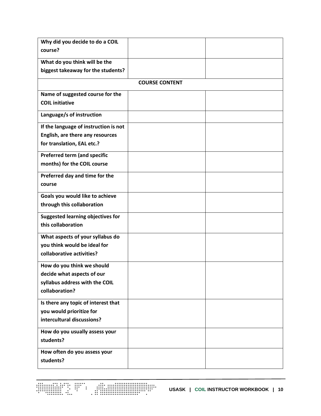| Why did you decide to do a COIL          |                       |  |
|------------------------------------------|-----------------------|--|
| course?                                  |                       |  |
| What do you think will be the            |                       |  |
| biggest takeaway for the students?       |                       |  |
|                                          | <b>COURSE CONTENT</b> |  |
| Name of suggested course for the         |                       |  |
| <b>COIL initiative</b>                   |                       |  |
| Language/s of instruction                |                       |  |
| If the language of instruction is not    |                       |  |
| English, are there any resources         |                       |  |
| for translation, EAL etc.?               |                       |  |
| Preferred term (and specific             |                       |  |
| months) for the COIL course              |                       |  |
| Preferred day and time for the           |                       |  |
| course                                   |                       |  |
| Goals you would like to achieve          |                       |  |
| through this collaboration               |                       |  |
| <b>Suggested learning objectives for</b> |                       |  |
| this collaboration                       |                       |  |
| What aspects of your syllabus do         |                       |  |
| you think would be ideal for             |                       |  |
| collaborative activities?                |                       |  |
| How do you think we should               |                       |  |
| decide what aspects of our               |                       |  |
| syllabus address with the COIL           |                       |  |
| collaboration?                           |                       |  |
| Is there any topic of interest that      |                       |  |
| you would prioritize for                 |                       |  |
| intercultural discussions?               |                       |  |
| How do you usually assess your           |                       |  |
| students?                                |                       |  |
| How often do you assess your             |                       |  |
| students?                                |                       |  |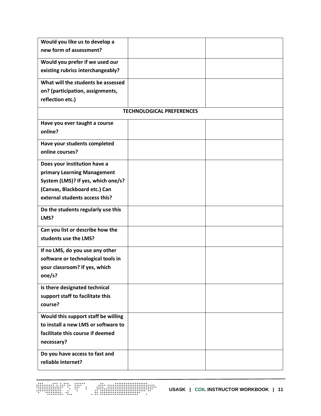| Would you like us to develop a      |                                  |  |
|-------------------------------------|----------------------------------|--|
| new form of assessment?             |                                  |  |
| Would you prefer if we used our     |                                  |  |
| existing rubrics interchangeably?   |                                  |  |
| What will the students be assessed  |                                  |  |
| on? (participation, assignments,    |                                  |  |
| reflection etc.)                    |                                  |  |
|                                     | <b>TECHNOLOGICAL PREFERENCES</b> |  |
| Have you ever taught a course       |                                  |  |
| online?                             |                                  |  |
| Have your students completed        |                                  |  |
| online courses?                     |                                  |  |
| Does your institution have a        |                                  |  |
| primary Learning Management         |                                  |  |
| System (LMS)? If yes, which one/s?  |                                  |  |
| (Canvas, Blackboard etc.) Can       |                                  |  |
| external students access this?      |                                  |  |
| Do the students regularly use this  |                                  |  |
| LMS?                                |                                  |  |
| Can you list or describe how the    |                                  |  |
| students use the LMS?               |                                  |  |
| If no LMS, do you use any other     |                                  |  |
| software or technological tools in  |                                  |  |
| your classroom? If yes, which       |                                  |  |
| one/s?                              |                                  |  |
| Is there designated technical       |                                  |  |
| support staff to facilitate this    |                                  |  |
| course?                             |                                  |  |
| Would this support staff be willing |                                  |  |
| to install a new LMS or software to |                                  |  |
| facilitate this course if deemed    |                                  |  |
| necessary?                          |                                  |  |
| Do you have access to fast and      |                                  |  |
| reliable internet?                  |                                  |  |
|                                     |                                  |  |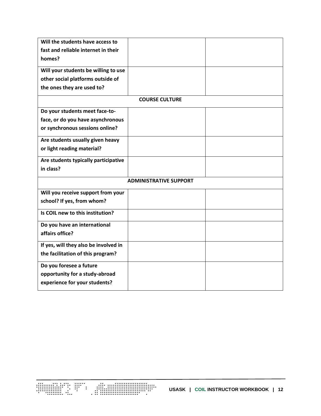| Will the students have access to      |                       |  |  |
|---------------------------------------|-----------------------|--|--|
| fast and reliable internet in their   |                       |  |  |
| homes?                                |                       |  |  |
| Will your students be willing to use  |                       |  |  |
| other social platforms outside of     |                       |  |  |
| the ones they are used to?            |                       |  |  |
|                                       | <b>COURSE CULTURE</b> |  |  |
| Do your students meet face-to-        |                       |  |  |
| face, or do you have asynchronous     |                       |  |  |
| or synchronous sessions online?       |                       |  |  |
| Are students usually given heavy      |                       |  |  |
| or light reading material?            |                       |  |  |
| Are students typically participative  |                       |  |  |
| in class?                             |                       |  |  |
| <b>ADMINISTRATIVE SUPPORT</b>         |                       |  |  |
| Will you receive support from your    |                       |  |  |
| school? If yes, from whom?            |                       |  |  |
| Is COIL new to this institution?      |                       |  |  |
| Do you have an international          |                       |  |  |
| affairs office?                       |                       |  |  |
| If yes, will they also be involved in |                       |  |  |
| the facilitation of this program?     |                       |  |  |
| Do you foresee a future               |                       |  |  |
| opportunity for a study-abroad        |                       |  |  |
| experience for your students?         |                       |  |  |
|                                       |                       |  |  |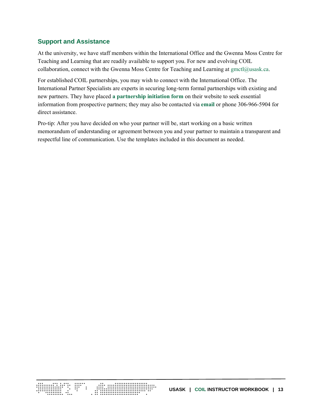### <span id="page-12-0"></span>**Support and Assistance**

At the university, we have staff members within the International Office and the Gwenna Moss Centre for Teaching and Learning that are readily available to support you. For new and evolving COIL collaboration, connect with the Gwenna Moss Centre for Teaching and Learning at [gmctl@usask.ca.](mailto:gmctl@usask.ca)

For established COIL partnerships, you may wish to connect with the International Office. The International Partner Specialists are experts in securing long-term formal partnerships with existing and new partners. They have placed **[a partnership initiation form](https://internationaloffice.usask.ca/usask-partnership-initiation-form_2020.docx)** on their website to seek essential information from prospective partners; they may also be contacted via **[email](mailto:international.office@usask.ca)** or phone 306-966-5904 for direct assistance.

Pro-tip: After you have decided on who your partner will be, start working on a basic written memorandum of understanding or agreement between you and your partner to maintain a transparent and respectful line of communication. Use the templates included in this document as needed.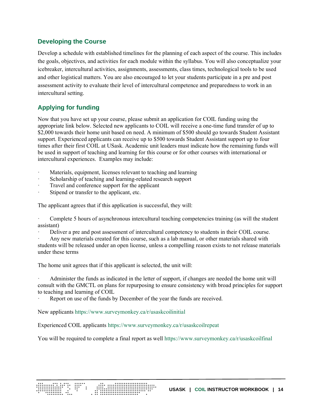### <span id="page-13-0"></span>**Developing the Course**

Develop a schedule with established timelines for the planning of each aspect of the course. This includes the goals, objectives, and activities for each module within the syllabus. You will also conceptualize your icebreaker, intercultural activities, assignments, assessments, class times, technological tools to be used and other logistical matters. You are also encouraged to let your students participate in a pre and post assessment activity to evaluate their level of intercultural competence and preparedness to work in an intercultural setting.

# <span id="page-13-1"></span>**Applying for funding**

Now that you have set up your course, please submit an application for COIL funding using the appropriate link below. Selected new applicants to COIL will receive a one-time fund transfer of up to \$2,000 towards their home unit based on need. A minimum of \$500 should go towards Student Assistant support. Experienced applicants can receive up to \$500 towards Student Assistant support up to four times after their first COIL at USask. Academic unit leaders must indicate how the remaining funds will be used in support of teaching and learning for this course or for other courses with international or intercultural experiences. Examples may include:

- Materials, equipment, licenses relevant to teaching and learning
- Scholarship of teaching and learning-related research support
- Travel and conference support for the applicant
- Stipend or transfer to the applicant, etc.

The applicant agrees that if this application is successful, they will:

Complete 5 hours of asynchronous intercultural teaching competencies training (as will the student assistant)

Deliver a pre and post assessment of intercultural competency to students in their COIL course.

Any new materials created for this course, such as a lab manual, or other materials shared with students will be released under an open license, unless a compelling reason exists to not release materials under these terms

The home unit agrees that if this applicant is selected, the unit will:

· Administer the funds as indicated in the letter of support, if changes are needed the home unit will consult with the GMCTL on plans for repurposing to ensure consistency with broad principles for support to teaching and learning of COIL

Report on use of the funds by December of the year the funds are received.

New applicants<https://www.surveymonkey.ca/r/usaskcoilinitial>

EST: STAND

Experienced COIL applicants<https://www.surveymonkey.ca/r/usaskcoilrepeat>

You will be required to complete a final report as wel[l https://www.surveymonkey.ca/r/usaskcoilfinal](https://www.surveymonkey.ca/r/usaskcoilfinal)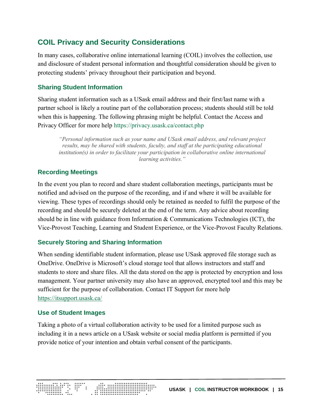# <span id="page-14-0"></span>**COIL Privacy and Security Considerations**

In many cases, collaborative online international learning (COIL) involves the collection, use and disclosure of student personal information and thoughtful consideration should be given to protecting students' privacy throughout their participation and beyond.

# <span id="page-14-1"></span>**Sharing Student Information**

Sharing student information such as a USask email address and their first/last name with a partner school is likely a routine part of the collaboration process; students should still be told when this is happening. The following phrasing might be helpful. Contact the Access and Privacy Officer for more help <https://privacy.usask.ca/contact.php>

*"Personal information such as your name and USask email address, and relevant project results, may be shared with students, faculty, and staff at the participating educational institution(s) in order to facilitate your participation in collaborative online international learning activities."*

# <span id="page-14-2"></span>**Recording Meetings**

In the event you plan to record and share student collaboration meetings, participants must be notified and advised on the purpose of the recording, and if and where it will be available for viewing. These types of recordings should only be retained as needed to fulfil the purpose of the recording and should be securely deleted at the end of the term. Any advice about recording should be in line with guidance from Information & Communications Technologies (ICT), the Vice-Provost Teaching, Learning and Student Experience, or the Vice-Provost Faculty Relations.

## <span id="page-14-3"></span>**Securely Storing and Sharing Information**

When sending identifiable student information, please use USask approved file storage such as OneDrive. OneDrive is Microsoft's cloud storage tool that allows instructors and staff and students to store and share files. All the data stored on the app is protected by encryption and loss management. Your partner university may also have an approved, encrypted tool and this may be sufficient for the purpose of collaboration. Contact IT Support for more help <https://itsupport.usask.ca/>

## <span id="page-14-4"></span>**Use of Student Images**

Taking a photo of a virtual collaboration activity to be used for a limited purpose such as including it in a news article on a USask website or social media platform is permitted if you provide notice of your intention and obtain verbal consent of the participants.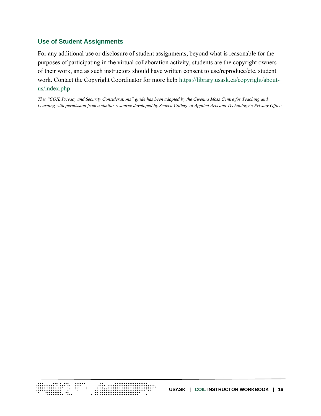### <span id="page-15-0"></span>**Use of Student Assignments**

For any additional use or disclosure of student assignments, beyond what is reasonable for the purposes of participating in the virtual collaboration activity, students are the copyright owners of their work, and as such instructors should have written consent to use/reproduce/etc. student work. Contact the Copyright Coordinator for more help [https://library.usask.ca/copyright/about](https://library.usask.ca/copyright/about-us/index.php)[us/index.php](https://library.usask.ca/copyright/about-us/index.php)

*This "COIL Privacy and Security Considerations" guide has been adapted by the Gwenna Moss Centre for Teaching and Learning with permission from a similar resource developed by Seneca College of Applied Arts and Technology's Privacy Office.*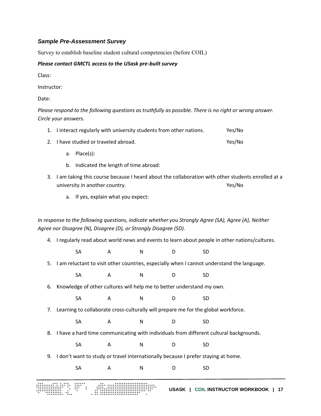#### <span id="page-16-0"></span>*Sample Pre-Assessment Survey*

Survey to establish baseline student cultural competencies (before COIL)

#### *Please contact GMCTL access to the USask pre-built survey*

Class:

Instructor:

Date:

*Please respond to the following questions as truthfully as possible. There is no right or wrong answer. Circle your answers.*

| 1. I interact regularly with university students from other nations. | Yes/No |
|----------------------------------------------------------------------|--------|
| 2. I have studied or traveled abroad.                                | Yes/No |

- a. Place(s):
- b. Indicated the length of time abroad:
- 3. I am taking this course because I heard about the collaboration with other students enrolled at a university in another country. Yes/No
	- a. If yes, explain what you expect:

*In response to the following questions, indicate whether you Strongly Agree (SA), Agree (A), Neither Agree nor Disagree (N), Disagree (D), or Strongly Disagree (SD).*

- 4. I regularly read about world news and events to learn about people in other nations/cultures.
	- SA A N D SD
- 5. I am reluctant to visit other countries, especially when I cannot understand the language.
	- SA A N D SD
- 6. Knowledge of other cultures will help me to better understand my own.
	- SA A N D SD
- 7. Learning to collaborate cross-culturally will prepare me for the global workforce.
	- SA A N D SD
- 8. I have a hard time communicating with individuals from different cultural backgrounds.
	- SA A N D SD
- 9. I don't want to study or travel internationally because I prefer staying at home.
	- SA A N D SD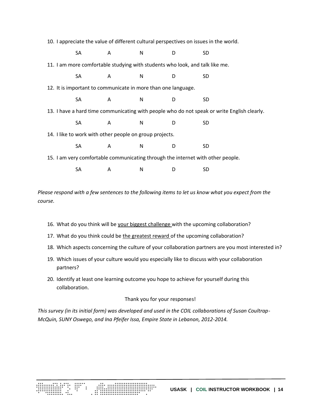10. I appreciate the value of different cultural perspectives on issues in the world.

| SA   | A | N                                                             | D | <b>SD</b>                                                                                   |  |
|------|---|---------------------------------------------------------------|---|---------------------------------------------------------------------------------------------|--|
|      |   |                                                               |   | 11. I am more comfortable studying with students who look, and talk like me.                |  |
| SA   | A | N                                                             | D | <b>SD</b>                                                                                   |  |
|      |   | 12. It is important to communicate in more than one language. |   |                                                                                             |  |
| SA.  | A | N                                                             | D | SD                                                                                          |  |
|      |   |                                                               |   | 13. I have a hard time communicating with people who do not speak or write English clearly. |  |
| SA - | A | N                                                             | D | <b>SD</b>                                                                                   |  |
|      |   | 14. I like to work with other people on group projects.       |   |                                                                                             |  |
| SA   | A | N                                                             | D | <b>SD</b>                                                                                   |  |
|      |   |                                                               |   | 15. I am very comfortable communicating through the internet with other people.             |  |
| SA   | A | N                                                             |   | SD                                                                                          |  |

*Please respond with a few sentences to the following items to let us know what you expect from the course.*

- 16. What do you think will be your biggest challenge with the upcoming collaboration?
- 17. What do you think could be the greatest reward of the upcoming collaboration?
- 18. Which aspects concerning the culture of your collaboration partners are you most interested in?
- 19. Which issues of your culture would you especially like to discuss with your collaboration partners?
- 20. Identify at least one learning outcome you hope to achieve for yourself during this collaboration.

#### Thank you for your responses!

*This survey (in its initial form) was developed and used in the COIL collaborations of Susan Coultrap-McQuin, SUNY Oswego, and Ina Pfeifer Issa, Empire State in Lebanon, 2012-2014.*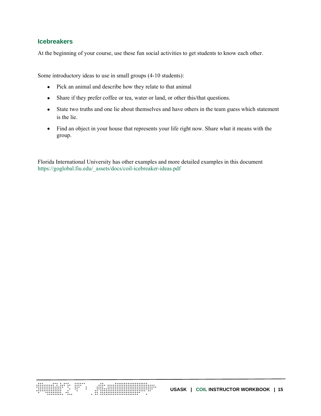#### <span id="page-18-0"></span>**Icebreakers**

At the beginning of your course, use these fun social activities to get students to know each other.

Some introductory ideas to use in small groups (4-10 students):

- Pick an animal and describe how they relate to that animal
- Share if they prefer coffee or tea, water or land, or other this/that questions.
- State two truths and one lie about themselves and have others in the team guess which statement is the lie.
- Find an object in your house that represents your life right now. Share what it means with the group.

Florida International University has other examples and more detailed examples in this document [https://goglobal.fiu.edu/\\_assets/docs/coil-icebreaker-ideas.pdf](https://goglobal.fiu.edu/_assets/docs/coil-icebreaker-ideas.pdf)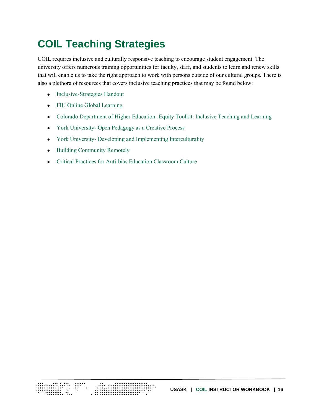# <span id="page-19-0"></span>**COIL Teaching Strategies**

COIL requires inclusive and culturally responsive teaching to encourage student engagement. The university offers numerous training opportunities for faculty, staff, and students to learn and renew skills that will enable us to take the right approach to work with persons outside of our cultural groups. There is also a plethora of resources that covers inclusive teaching practices that may be found below:

- [Inclusive-Strategies Handout](https://canvas.usask.ca/courses/19469/files/654034?wrap=1)
- [FIU Online Global Learning](https://goglobal.fiu.edu/resources/online-global-learning/)
- Colorado Department of Higher Education- [Equity Toolkit: Inclusive Teaching and Learning](http://masterplan.highered.colorado.gov/wp-content/uploads/2019/10/CDHE-Culturally-Responsive-Teaching-in-Higher-Education.pdf)
- York University- [Open Pedagogy as a Creative Process](https://yorkinternational.yorku.ca/files/2020/07/TiF-2019-Presentation-1.pptx?x49891)
- York University- [Developing and Implementing Interculturality](https://yorkinternational.yorku.ca/files/2020/07/GNL_COIL-Developing-and-Implementing-Interculturality_March-15-1.pptx?x49891)
- [Building Community Remotely](https://words.usask.ca/gmcte/2020/05/21/building-community-remotely/)
- [Critical Practices for Anti-bias Education Classroom Culture](https://www.tolerance.org/magazine/publications/critical-practices-for-antibias-education/classroom-culture)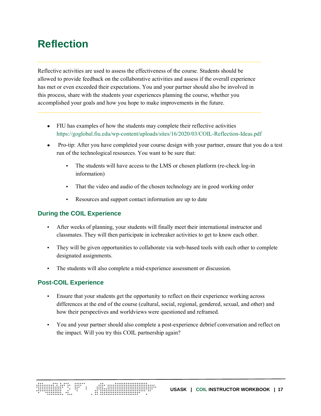# <span id="page-20-0"></span>**Reflection**

Reflective activities are used to assess the effectiveness of the course. Students should be allowed to provide feedback on the collaborative activities and assess if the overall experience has met or even exceeded their expectations. You and your partner should also be involved in this process, share with the students your experiences planning the course, whether you accomplished your goals and how you hope to make improvements in the future.

- FIU has examples of how the students may complete their reflective activities <https://goglobal.fiu.edu/wp-content/uploads/sites/16/2020/03/COIL-Reflection-Ideas.pdf>
- Pro-tip: After you have completed your course design with your partner, ensure that you do a test run of the technological resources. You want to be sure that:
	- The students will have access to the LMS or chosen platform (re-check log-in information)
	- That the video and audio of the chosen technology are in good working order
	- Resources and support contact information are up to date

## <span id="page-20-1"></span>**During the COIL Experience**

- After weeks of planning, your students will finally meet their international instructor and classmates. They will then participate in icebreaker activities to get to know each other.
- They will be given opportunities to collaborate via web-based tools with each other to complete designated assignments.
- The students will also complete a mid-experience assessment or discussion.

## <span id="page-20-2"></span>**Post-COIL Experience**

- Ensure that your students get the opportunity to reflect on their experience working across differences at the end of the course (cultural, social, regional, gendered, sexual, and other) and how their perspectives and worldviews were questioned and reframed.
- You and your partner should also complete a post-experience debrief conversation and reflect on the impact. Will you try this COIL partnership again?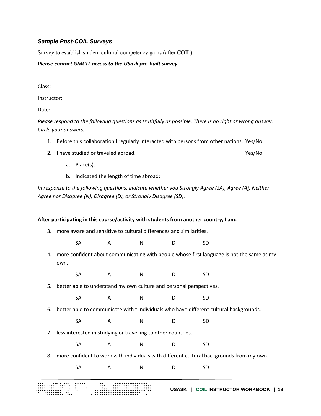#### <span id="page-21-0"></span>*Sample Post-COIL Surveys*

Survey to establish student cultural competency gains (after COIL).

#### *Please contact GMCTL access to the USask pre-built survey*

Class:

Instructor:

Date:

*Please respond to the following questions as truthfully as possible. There is no right or wrong answer. Circle your answers.*

- 1. Before this collaboration I regularly interacted with persons from other nations. Yes/No
- 2. I have studied or traveled abroad. Yes/No
	- a. Place(s):
	- b. Indicated the length of time abroad:

*In response to the following questions, indicate whether you Strongly Agree (SA), Agree (A), Neither Agree nor Disagree (N), Disagree (D), or Strongly Disagree (SD).*

#### **After participating in this course/activity with students from another country, I am:**

- 3. more aware and sensitive to cultural differences and similarities.
	- SA A N D SD
- 4. more confident about communicating with people whose first language is not the same as my own.
	- SA A N D SD
- 5. better able to understand my own culture and personal perspectives.

SA A N D SD

- 6. better able to communicate with t individuals who have different cultural backgrounds.
	- SA A N D SD
- 7. less interested in studying or travelling to other countries.
	- SA A N D SD
- 8. more confident to work with individuals with different cultural backgrounds from my own.
	- SA A N D SD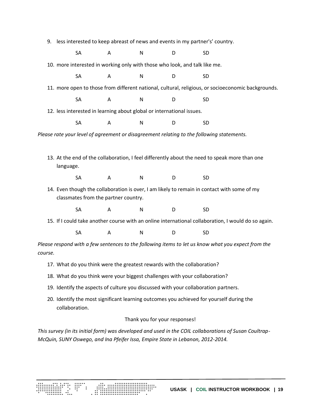9. less interested to keep abreast of news and events in my partner's' country.

SA A N D SD

10. more interested in working only with those who look, and talk like me.

SA A N D SD

11. more open to those from different national, cultural, religious, or socioeconomic backgrounds.

SA A N D SD

12. less interested in learning about global or international issues.

SA A N D SD

*Please rate your level of agreement or disagreement relating to the following statements.*

13. At the end of the collaboration, I feel differently about the need to speak more than one language.

SA A N D SD

14. Even though the collaboration is over, I am likely to remain in contact with some of my classmates from the partner country.

SA A N D SD

15. If I could take another course with an online international collaboration, I would do so again.

SA A N D SD

*Please respond with a few sentences to the following items to let us know what you expect from the course.*

- 17. What do you think were the greatest rewards with the collaboration?
- 18. What do you think were your biggest challenges with your collaboration?
- 19. Identify the aspects of culture you discussed with your collaboration partners.
- 20. Identify the most significant learning outcomes you achieved for yourself during the collaboration.

#### Thank you for your responses!

*This survey (in its initial form) was developed and used in the COIL collaborations of Susan Coultrap-McQuin, SUNY Oswego, and Ina Pfeifer Issa, Empire State in Lebanon, 2012-2014.*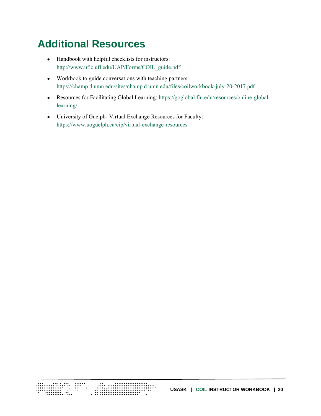# <span id="page-23-0"></span>**Additional Resources**

- Handbook with helpful checklists for instructors: [http://www.ufic.ufl.edu/UAP/Forms/COIL\\_guide.pdf](http://www.ufic.ufl.edu/UAP/Forms/COIL_guide.pdf)
- Workbook to guide conversations with teaching partners: <https://champ.d.umn.edu/sites/champ.d.umn.edu/files/coilworkbook-july-20-2017.pdf>
- Resources for Facilitating Global Learning[: https://goglobal.fiu.edu/resources/online-global](https://goglobal.fiu.edu/resources/online-global-learning/)[learning/](https://goglobal.fiu.edu/resources/online-global-learning/)
- University of Guelph- Virtual Exchange Resources for Faculty: <https://www.uoguelph.ca/cip/virtual-exchange-resources>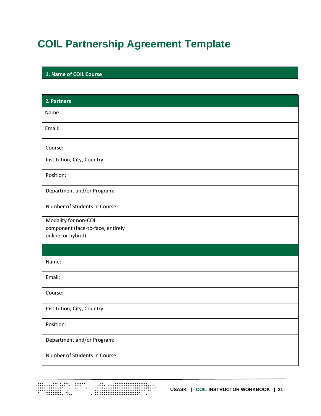# <span id="page-24-0"></span>**COIL Partnership Agreement Template**

| 1. Name of COIL Course                                                            |  |  |
|-----------------------------------------------------------------------------------|--|--|
|                                                                                   |  |  |
| 2. Partners                                                                       |  |  |
| Name:                                                                             |  |  |
| Email:                                                                            |  |  |
| Course:                                                                           |  |  |
| Institution, City, Country:                                                       |  |  |
| Position:                                                                         |  |  |
| Department and/or Program:                                                        |  |  |
| Number of Students in Course:                                                     |  |  |
| Modality for non-COIL<br>component (face-to-face, entirely<br>online, or hybrid): |  |  |
|                                                                                   |  |  |
| Name:                                                                             |  |  |
| Email:                                                                            |  |  |
| Course:                                                                           |  |  |
| Institution, City, Country:                                                       |  |  |
| Position:                                                                         |  |  |
| Department and/or Program:                                                        |  |  |
| Number of Students in Course:                                                     |  |  |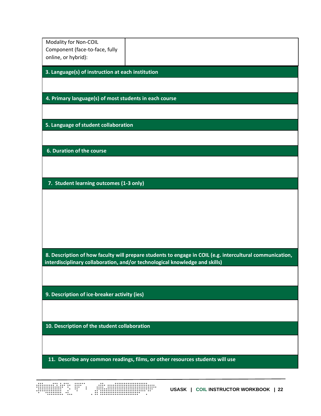| Modality for Non-COIL<br>Component (face-to-face, fully                  |                                                                                                                                                                                         |
|--------------------------------------------------------------------------|-----------------------------------------------------------------------------------------------------------------------------------------------------------------------------------------|
| online, or hybrid):<br>3. Language(s) of instruction at each institution |                                                                                                                                                                                         |
| 4. Primary language(s) of most students in each course                   |                                                                                                                                                                                         |
|                                                                          |                                                                                                                                                                                         |
| 5. Language of student collaboration                                     |                                                                                                                                                                                         |
| 6. Duration of the course                                                |                                                                                                                                                                                         |
| 7. Student learning outcomes (1-3 only)                                  |                                                                                                                                                                                         |
|                                                                          |                                                                                                                                                                                         |
|                                                                          |                                                                                                                                                                                         |
|                                                                          |                                                                                                                                                                                         |
|                                                                          | 8. Description of how faculty will prepare students to engage in COIL (e.g. intercultural communication,<br>interdisciplinary collaboration, and/or technological knowledge and skills) |
| 9. Description of ice-breaker activity (ies)                             |                                                                                                                                                                                         |
|                                                                          |                                                                                                                                                                                         |
| 10. Description of the student collaboration                             |                                                                                                                                                                                         |
|                                                                          | 11. Describe any common readings, films, or other resources students will use                                                                                                           |
|                                                                          |                                                                                                                                                                                         |
|                                                                          | USASK   COIL INSTRUCTOR WORKBOOK   22                                                                                                                                                   |